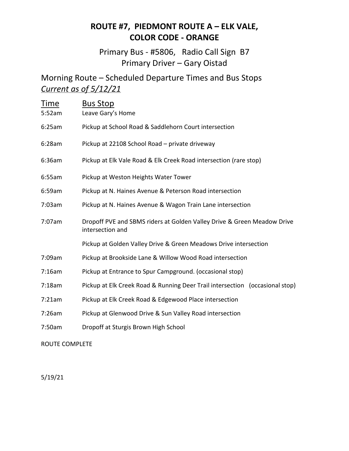## **ROUTE #7, PIEDMONT ROUTE A – ELK VALE, COLOR CODE - ORANGE**

Primary Bus - #5806, Radio Call Sign B7 Primary Driver – Gary Oistad

Morning Route – Scheduled Departure Times and Bus Stops *Current as of 5/12/21*

| <b>Time</b><br>5:52am | <b>Bus Stop</b><br>Leave Gary's Home                                                        |
|-----------------------|---------------------------------------------------------------------------------------------|
| 6:25am                | Pickup at School Road & Saddlehorn Court intersection                                       |
| 6:28am                | Pickup at 22108 School Road - private driveway                                              |
| 6:36am                | Pickup at Elk Vale Road & Elk Creek Road intersection (rare stop)                           |
| 6:55am                | Pickup at Weston Heights Water Tower                                                        |
| 6:59am                | Pickup at N. Haines Avenue & Peterson Road intersection                                     |
| 7:03am                | Pickup at N. Haines Avenue & Wagon Train Lane intersection                                  |
| 7:07am                | Dropoff PVE and SBMS riders at Golden Valley Drive & Green Meadow Drive<br>intersection and |
|                       | Pickup at Golden Valley Drive & Green Meadows Drive intersection                            |
| 7:09am                | Pickup at Brookside Lane & Willow Wood Road intersection                                    |
| 7:16am                | Pickup at Entrance to Spur Campground. (occasional stop)                                    |
| 7:18am                | Pickup at Elk Creek Road & Running Deer Trail intersection (occasional stop)                |
| 7:21am                | Pickup at Elk Creek Road & Edgewood Place intersection                                      |
| 7:26am                | Pickup at Glenwood Drive & Sun Valley Road intersection                                     |
| 7:50am                | Dropoff at Sturgis Brown High School                                                        |

ROUTE COMPLETE

5/19/21